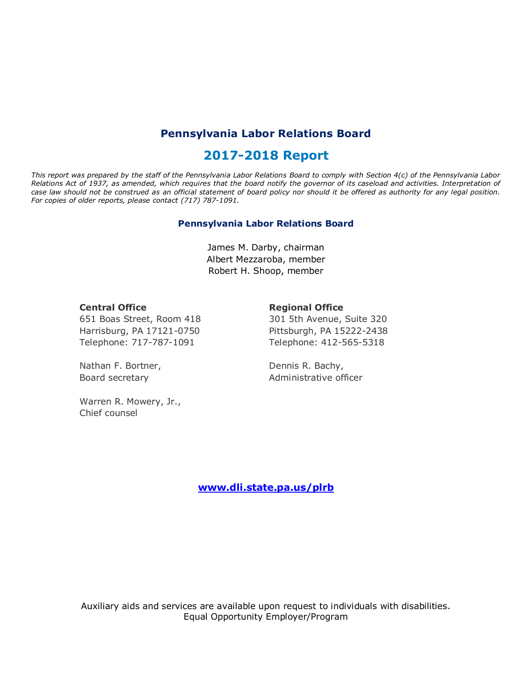# **Pennsylvania Labor Relations Board**

# **2017-2018 Report**

*This report was prepared by the staff of the Pennsylvania Labor Relations Board to comply with Section 4(c) of the Pennsylvania Labor Relations Act of 1937, as amended, which requires that the board notify the governor of its caseload and activities. Interpretation of case law should not be construed as an official statement of board policy nor should it be offered as authority for any legal position. For copies of older reports, please contact (717) 787-1091.*

#### **Pennsylvania Labor Relations Board**

James M. Darby, chairman Albert Mezzaroba, member Robert H. Shoop, member

#### **Central Office**

**Regional Office**

651 Boas Street, Room 418 Harrisburg, PA 17121-0750 Telephone: 717-787-1091

Nathan F. Bortner, Board secretary

Warren R. Mowery, Jr., Chief counsel

301 5th Avenue, Suite 320 Pittsburgh, PA 15222-2438 Telephone: 412-565-5318

Dennis R. Bachy, Administrative officer

**[www.dli.state.pa.us/plrb](http://www.dli.state.pa.us/plrb)**

Auxiliary aids and services are available upon request to individuals with disabilities. Equal Opportunity Employer/Program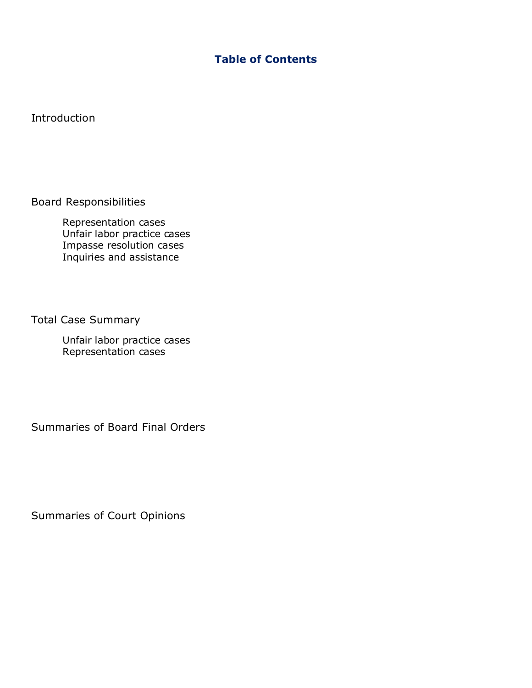## **Table of Contents**

Introduction

Board Responsibilities

Representation cases Unfair labor practice cases Impasse resolution cases Inquiries and assistance

Total Case Summary

Unfair labor practice cases Representation cases

Summaries of Board Final Orders

Summaries of Court Opinions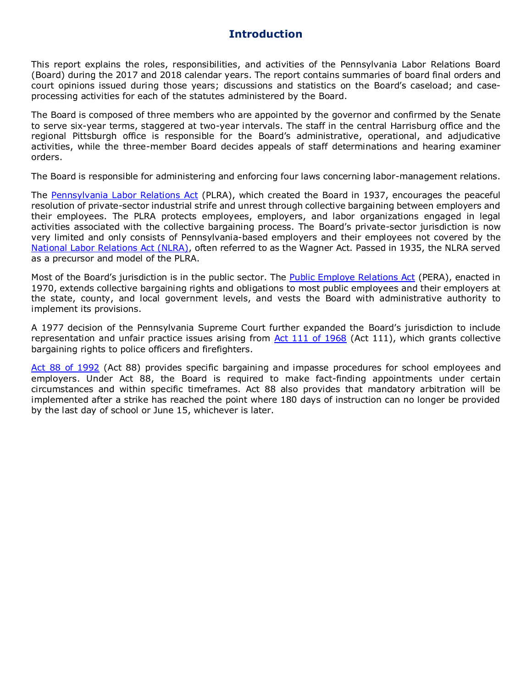## **Introduction**

This report explains the roles, responsibilities, and activities of the Pennsylvania Labor Relations Board (Board) during the 2017 and 2018 calendar years. The report contains summaries of board final orders and court opinions issued during those years; discussions and statistics on the Board's caseload; and caseprocessing activities for each of the statutes administered by the Board.

The Board is composed of three members who are appointed by the governor and confirmed by the Senate to serve six-year terms, staggered at two-year intervals. The staff in the central Harrisburg office and the regional Pittsburgh office is responsible for the Board's administrative, operational, and adjudicative activities, while the three-member Board decides appeals of staff determinations and hearing examiner orders.

The Board is responsible for administering and enforcing four laws concerning labor-management relations.

The [Pennsylvania Labor Relations Act](http://www.portal.state.pa.us/portal/server.pt?open=514&objID=552984&mode=2) (PLRA), which created the Board in 1937, encourages the peaceful resolution of private-sector industrial strife and unrest through collective bargaining between employers and their employees. The PLRA protects employees, employers, and labor organizations engaged in legal activities associated with the collective bargaining process. The Board's private-sector jurisdiction is now very limited and only consists of Pennsylvania-based employers and their employees not covered by the [National Labor Relations Act](http://nlrb.gov/national-labor-relations-act) (NLRA), often referred to as the Wagner Act. Passed in 1935, the NLRA served as a precursor and model of the PLRA.

Most of the Board's jurisdiction is in the public sector. The [Public Employe Relations Act](http://www.portal.state.pa.us/portal/server.pt?open=514&objID=552991&mode=2) (PERA), enacted in 1970, extends collective bargaining rights and obligations to most public employees and their employers at the state, county, and local government levels, and vests the Board with administrative authority to implement its provisions.

A 1977 decision of the Pennsylvania Supreme Court further expanded the Board's jurisdiction to include representation and unfair practice issues arising from  $Act$  111 of 1968 (Act 111), which grants collective bargaining rights to police officers and firefighters.

[Act 88 of 1992](http://www.portal.state.pa.us/portal/server.pt?open=514&objID=552940&mode=2) (Act 88) provides specific bargaining and impasse procedures for school employees and employers. Under Act 88, the Board is required to make fact-finding appointments under certain circumstances and within specific timeframes. Act 88 also provides that mandatory arbitration will be implemented after a strike has reached the point where 180 days of instruction can no longer be provided by the last day of school or June 15, whichever is later.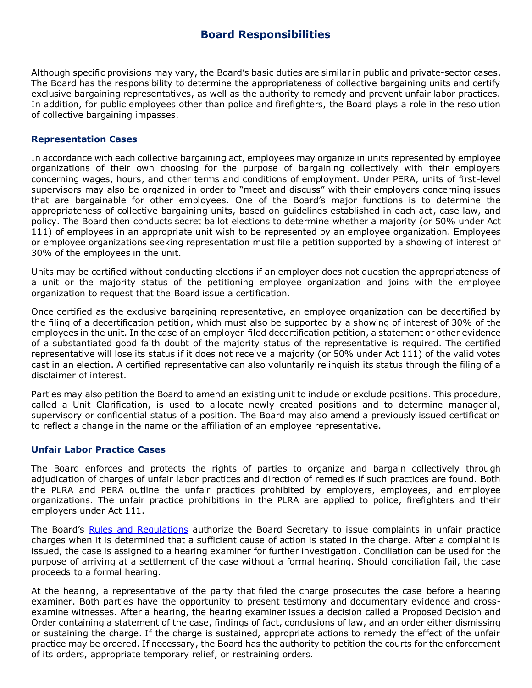### **Board Responsibilities**

Although specific provisions may vary, the Board's basic duties are similar in public and private-sector cases. The Board has the responsibility to determine the appropriateness of collective bargaining units and certify exclusive bargaining representatives, as well as the authority to remedy and prevent unfair labor practices. In addition, for public employees other than police and firefighters, the Board plays a role in the resolution of collective bargaining impasses.

#### **Representation Cases**

In accordance with each collective bargaining act, employees may organize in units represented by employee organizations of their own choosing for the purpose of bargaining collectively with their employers concerning wages, hours, and other terms and conditions of employment. Under PERA, units of first-level supervisors may also be organized in order to "meet and discuss" with their employers concerning issues that are bargainable for other employees. One of the Board's major functions is to determine the appropriateness of collective bargaining units, based on guidelines established in each act, case law, and policy. The Board then conducts secret ballot elections to determine whether a majority (or 50% under Act 111) of employees in an appropriate unit wish to be represented by an employee organization. Employees or employee organizations seeking representation must file a petition supported by a showing of interest of 30% of the employees in the unit.

Units may be certified without conducting elections if an employer does not question the appropriateness of a unit or the majority status of the petitioning employee organization and joins with the employee organization to request that the Board issue a certification.

Once certified as the exclusive bargaining representative, an employee organization can be decertified by the filing of a decertification petition, which must also be supported by a showing of interest of 30% of the employees in the unit. In the case of an employer-filed decertification petition, a statement or other evidence of a substantiated good faith doubt of the majority status of the representative is required. The certified representative will lose its status if it does not receive a majority (or 50% under Act 111) of the valid votes cast in an election. A certified representative can also voluntarily relinquish its status through the filing of a disclaimer of interest.

Parties may also petition the Board to amend an existing unit to include or exclude positions. This procedure, called a Unit Clarification, is used to allocate newly created positions and to determine managerial, supervisory or confidential status of a position. The Board may also amend a previously issued certification to reflect a change in the name or the affiliation of an employee representative.

#### **Unfair Labor Practice Cases**

The Board enforces and protects the rights of parties to organize and bargain collectively through adjudication of charges of unfair labor practices and direction of remedies if such practices are found. Both the PLRA and PERA outline the unfair practices prohibited by employers, employees, and employee organizations. The unfair practice prohibitions in the PLRA are applied to police, firefighters and their employers under Act 111.

The Board's [Rules and Regulations](http://www.portal.state.pa.us/portal/server.pt?open=514&objID=552985&mode=2) authorize the Board Secretary to issue complaints in unfair practice charges when it is determined that a sufficient cause of action is stated in the charge. After a complaint is issued, the case is assigned to a hearing examiner for further investigation. Conciliation can be used for the purpose of arriving at a settlement of the case without a formal hearing. Should conciliation fail, the case proceeds to a formal hearing.

At the hearing, a representative of the party that filed the charge prosecutes the case before a hearing examiner. Both parties have the opportunity to present testimony and documentary evidence and crossexamine witnesses. After a hearing, the hearing examiner issues a decision called a Proposed Decision and Order containing a statement of the case, findings of fact, conclusions of law, and an order either dismissing or sustaining the charge. If the charge is sustained, appropriate actions to remedy the effect of the unfair practice may be ordered. If necessary, the Board has the authority to petition the courts for the enforcement of its orders, appropriate temporary relief, or restraining orders.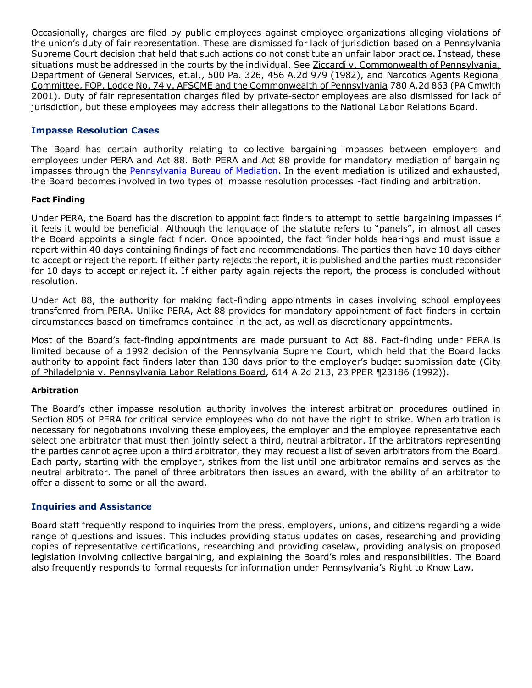Occasionally, charges are filed by public employees against employee organizations alleging violations of the union's duty of fair representation. These are dismissed for lack of jurisdiction based on a Pennsylvania Supreme Court decision that held that such actions do not constitute an unfair labor practice. Instead, these situations must be addressed in the courts by the individual. See Ziccardi v. Commonwealth of Pennsylvania, Department of General Services, et.al., 500 Pa. 326, 456 A.2d 979 (1982), and Narcotics Agents Regional Committee, FOP, Lodge No. 74 v. AFSCME and the Commonwealth of Pennsylvania 780 A.2d 863 (PA Cmwlth 2001). Duty of fair representation charges filed by private-sector employees are also dismissed for lack of jurisdiction, but these employees may address their allegations to the National Labor Relations Board.

### **Impasse Resolution Cases**

The Board has certain authority relating to collective bargaining impasses between employers and employees under PERA and Act 88. Both PERA and Act 88 provide for mandatory mediation of bargaining impasses through the [Pennsylvania Bureau of Mediation.](http://www.dli.state.pa.us/portal/server.pt/community/mediation_services/10522) In the event mediation is utilized and exhausted, the Board becomes involved in two types of impasse resolution processes -fact finding and arbitration.

#### **Fact Finding**

Under PERA, the Board has the discretion to appoint fact finders to attempt to settle bargaining impasses if it feels it would be beneficial. Although the language of the statute refers to "panels", in almost all cases the Board appoints a single fact finder. Once appointed, the fact finder holds hearings and must issue a report within 40 days containing findings of fact and recommendations. The parties then have 10 days either to accept or reject the report. If either party rejects the report, it is published and the parties must reconsider for 10 days to accept or reject it. If either party again rejects the report, the process is concluded without resolution.

Under Act 88, the authority for making fact-finding appointments in cases involving school employees transferred from PERA. Unlike PERA, Act 88 provides for mandatory appointment of fact-finders in certain circumstances based on timeframes contained in the act, as well as discretionary appointments.

Most of the Board's fact-finding appointments are made pursuant to Act 88. Fact-finding under PERA is limited because of a 1992 decision of the Pennsylvania Supreme Court, which held that the Board lacks authority to appoint fact finders later than 130 days prior to the employer's budget submission date (City of Philadelphia v. Pennsylvania Labor Relations Board, 614 A.2d 213, 23 PPER ¶23186 (1992)).

#### **Arbitration**

The Board's other impasse resolution authority involves the interest arbitration procedures outlined in Section 805 of PERA for critical service employees who do not have the right to strike. When arbitration is necessary for negotiations involving these employees, the employer and the employee representative each select one arbitrator that must then jointly select a third, neutral arbitrator. If the arbitrators representing the parties cannot agree upon a third arbitrator, they may request a list of seven arbitrators from the Board. Each party, starting with the employer, strikes from the list until one arbitrator remains and serves as the neutral arbitrator. The panel of three arbitrators then issues an award, with the ability of an arbitrator to offer a dissent to some or all the award.

#### **Inquiries and Assistance**

Board staff frequently respond to inquiries from the press, employers, unions, and citizens regarding a wide range of questions and issues. This includes providing status updates on cases, researching and providing copies of representative certifications, researching and providing caselaw, providing analysis on proposed legislation involving collective bargaining, and explaining the Board's roles and responsibilities. The Board also frequently responds to formal requests for information under Pennsylvania's Right to Know Law.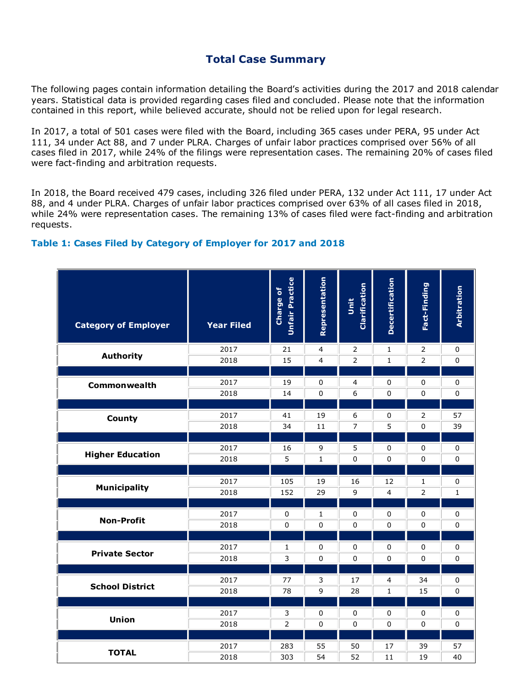## **Total Case Summary**

The following pages contain information detailing the Board's activities during the 2017 and 2018 calendar years. Statistical data is provided regarding cases filed and concluded. Please note that the information contained in this report, while believed accurate, should not be relied upon for legal research.

In 2017, a total of 501 cases were filed with the Board, including 365 cases under PERA, 95 under Act 111, 34 under Act 88, and 7 under PLRA. Charges of unfair labor practices comprised over 56% of all cases filed in 2017, while 24% of the filings were representation cases. The remaining 20% of cases filed were fact-finding and arbitration requests.

In 2018, the Board received 479 cases, including 326 filed under PERA, 132 under Act 111, 17 under Act 88, and 4 under PLRA. Charges of unfair labor practices comprised over 63% of all cases filed in 2018, while 24% were representation cases. The remaining 13% of cases filed were fact-finding and arbitration requests.

### **Table 1: Cases Filed by Category of Employer for 2017 and 2018**

| <b>Category of Employer</b> | Year Filed | Unfair Practice<br>Charge of | Representation | Clarification<br>Unit | <b>Decertification</b> | Fact-Finding                  | <b>Arbitration</b> |
|-----------------------------|------------|------------------------------|----------------|-----------------------|------------------------|-------------------------------|--------------------|
| <b>Authority</b>            | 2017       | 21                           | 4              | 2                     | $\mathbf{1}$           | $\overline{2}$                | $\pmb{0}$          |
|                             | 2018       | 15                           | 4              | $\overline{2}$        | $\mathbf{1}$           | $\overline{2}$                | 0                  |
|                             |            |                              |                |                       |                        |                               |                    |
| Commonwealth                | 2017       | 19                           | $\mathbf 0$    | $\overline{4}$        | $\Omega$               | $\mathbf 0$                   | $\mathbf 0$        |
|                             | 2018       | 14                           | 0              | 6                     | $\mathbf 0$            | $\mathbf 0$                   | $\mathbf 0$        |
|                             | 2017       |                              |                |                       |                        |                               |                    |
| <b>County</b>               | 2018       | 41<br>34                     | 19<br>11       | 6<br>$\overline{7}$   | 0<br>5                 | $\overline{2}$<br>$\mathbf 0$ | 57<br>39           |
|                             |            |                              |                |                       |                        |                               |                    |
|                             | 2017       | 16                           | 9              | 5                     | $\mathbf 0$            | $\mathbf 0$                   | $\pmb{0}$          |
| <b>Higher Education</b>     | 2018       | 5                            | $\mathbf{1}$   | 0                     | $\Omega$               | $\mathbf{0}$                  | 0                  |
|                             |            |                              |                |                       |                        |                               |                    |
|                             | 2017       | 105                          | 19             | 16                    | 12                     | 1                             | $\pmb{0}$          |
| <b>Municipality</b>         | 2018       | 152                          | 29             | 9                     | $\overline{4}$         | $\overline{2}$                | $\mathbf{1}$       |
|                             |            |                              |                |                       |                        |                               |                    |
| <b>Non-Profit</b>           | 2017       | $\mathbf 0$                  | 1              | $\mathbf 0$           | 0                      | $\mathbf 0$                   | 0                  |
|                             | 2018       | 0                            | 0              | 0                     | $\mathbf 0$            | 0                             | 0                  |
|                             |            |                              |                |                       |                        |                               |                    |
| <b>Private Sector</b>       | 2017       | $\mathbf{1}$                 | 0              | $\pmb{0}$             | $\pmb{0}$              | $\pmb{0}$                     | $\mathbf 0$        |
|                             | 2018       | 3                            | $\pmb{0}$      | $\pmb{0}$             | $\Omega$               | $\mathbf{0}$                  | $\mathbf 0$        |
|                             |            |                              |                |                       |                        |                               |                    |
| <b>School District</b>      | 2017       | 77                           | 3              | 17                    | $\overline{4}$         | 34                            | 0                  |
|                             | 2018       | 78                           | 9              | 28                    | 1                      | 15                            | 0                  |
|                             | 2017       | 3                            | 0              | 0                     | 0                      | $\mathbf 0$                   | $\pmb{0}$          |
| <b>Union</b>                | 2018       | $\overline{2}$               | $\pmb{0}$      | $\pmb{0}$             | $\mathbf 0$            | $\mathbf 0$                   | $\mathsf 0$        |
|                             |            |                              |                |                       |                        |                               |                    |
|                             | 2017       | 283                          | 55             | 50                    | 17                     | 39                            | 57                 |
| <b>TOTAL</b>                | 2018       | 303                          | 54             | 52                    | 11                     | 19                            | 40                 |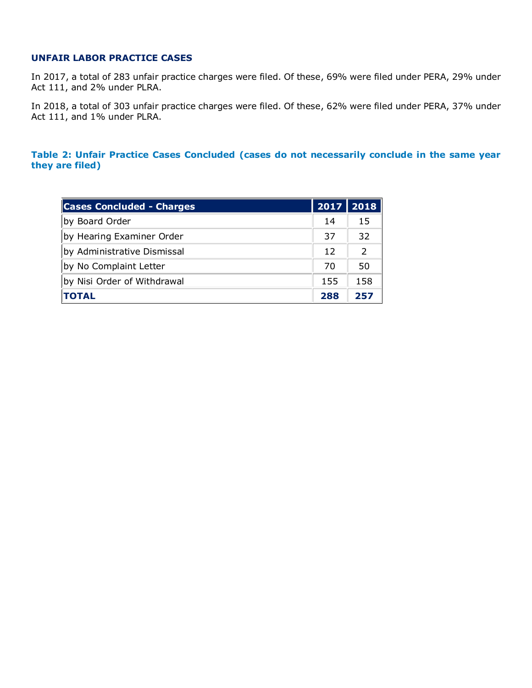### **UNFAIR LABOR PRACTICE CASES**

In 2017, a total of 283 unfair practice charges were filed. Of these, 69% were filed under PERA, 29% under Act 111, and 2% under PLRA.

In 2018, a total of 303 unfair practice charges were filed. Of these, 62% were filed under PERA, 37% under Act 111, and 1% under PLRA.

**Table 2: Unfair Practice Cases Concluded (cases do not necessarily conclude in the same year they are filed)**

| <b>Cases Concluded - Charges</b> |     | 2017 2018 |
|----------------------------------|-----|-----------|
| by Board Order                   | 14  | 15        |
| by Hearing Examiner Order        | 37  | 32        |
| by Administrative Dismissal      | 12  | 2         |
| by No Complaint Letter           | 70  | 50        |
| by Nisi Order of Withdrawal      | 155 | 158       |
| <b>TOTAL</b>                     | 288 | 257       |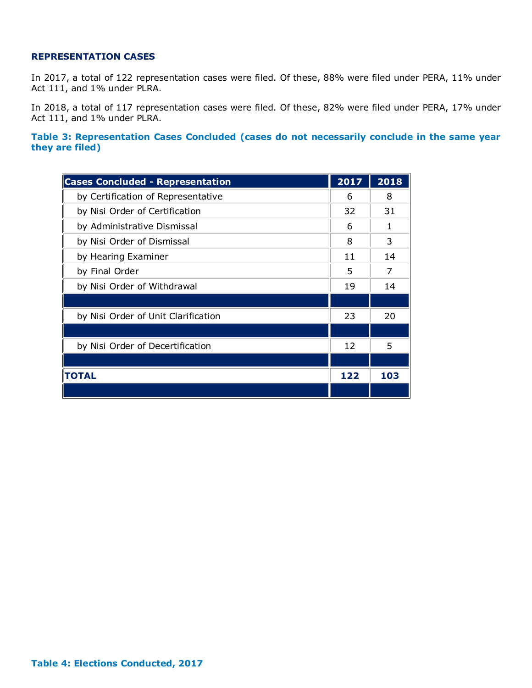#### **REPRESENTATION CASES**

In 2017, a total of 122 representation cases were filed. Of these, 88% were filed under PERA, 11% under Act 111, and 1% under PLRA.

In 2018, a total of 117 representation cases were filed. Of these, 82% were filed under PERA, 17% under Act 111, and 1% under PLRA.

**Table 3: Representation Cases Concluded (cases do not necessarily conclude in the same year they are filed)**

| <b>Cases Concluded - Representation</b> | 2017 | 2018 |
|-----------------------------------------|------|------|
| by Certification of Representative      | 6    | 8    |
| by Nisi Order of Certification          | 32   | 31   |
| by Administrative Dismissal             | 6    | 1    |
| by Nisi Order of Dismissal              | 8    | 3    |
| by Hearing Examiner                     | 11   | 14   |
| by Final Order                          | 5    | 7    |
| by Nisi Order of Withdrawal             | 19   | 14   |
|                                         |      |      |
| by Nisi Order of Unit Clarification     | 23   | 20   |
|                                         |      |      |
| by Nisi Order of Decertification        | 12   | 5    |
|                                         |      |      |
| <b>TOTAL</b>                            |      | 103  |
|                                         |      |      |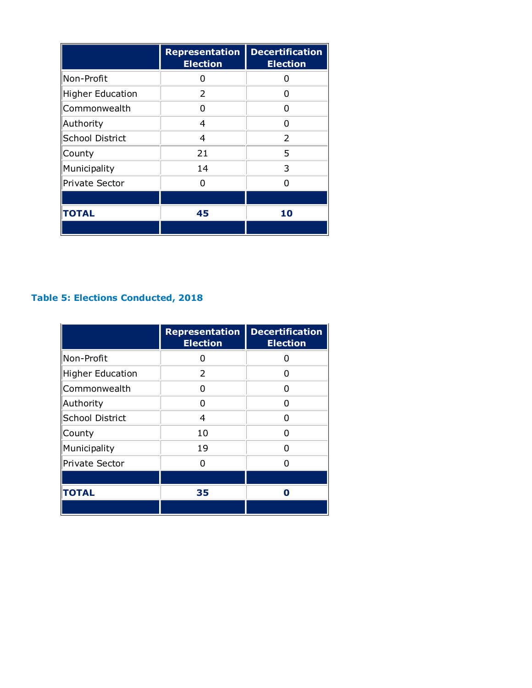|                  | <b>Representation</b><br><b>Election</b> | <b>Decertification</b><br><b>Election</b> |
|------------------|------------------------------------------|-------------------------------------------|
| Non-Profit       | N                                        |                                           |
| Higher Education | 2                                        | O                                         |
| Commonwealth     | O                                        | O                                         |
| Authority        | 4                                        | n                                         |
| School District  | 4                                        | $\mathcal{P}$                             |
| County           | 21                                       | 5                                         |
| Municipality     | 14                                       | 3                                         |
| Private Sector   | n                                        | n                                         |
|                  |                                          |                                           |
| <b>TOTAL</b>     | 45                                       | 10                                        |
|                  |                                          |                                           |

# **Table 5: Elections Conducted, 2018**

|                         | <b>Representation</b><br><b>Election</b> | <b>Decertification</b><br><b>Election</b> |
|-------------------------|------------------------------------------|-------------------------------------------|
| Non-Profit              | 0                                        | n                                         |
| <b>Higher Education</b> | $\mathcal{P}$                            | n                                         |
| Commonwealth            | n                                        | n                                         |
| Authority               | n                                        | O                                         |
| <b>School District</b>  | 4                                        | n                                         |
| County                  | 10                                       | n                                         |
| Municipality            | 19                                       | n                                         |
| <b>Private Sector</b>   | n                                        | N                                         |
|                         |                                          |                                           |
| <b>TOTAL</b>            | 35                                       | Π                                         |
|                         |                                          |                                           |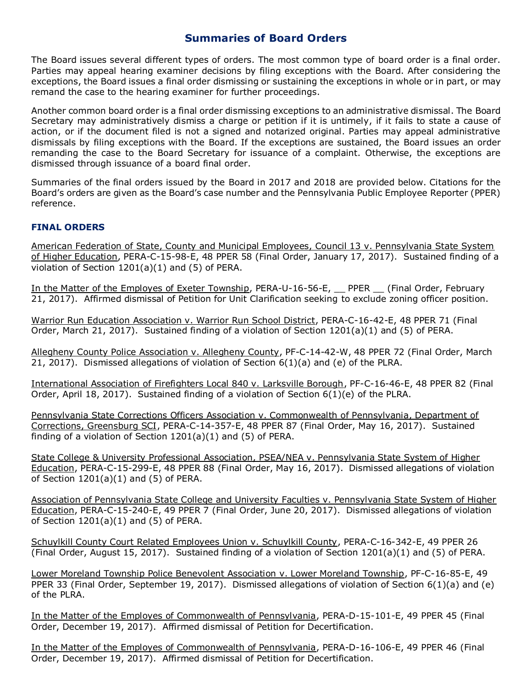## **Summaries of Board Orders**

The Board issues several different types of orders. The most common type of board order is a final order. Parties may appeal hearing examiner decisions by filing exceptions with the Board. After considering the exceptions, the Board issues a final order dismissing or sustaining the exceptions in whole or in part, or may remand the case to the hearing examiner for further proceedings.

Another common board order is a final order dismissing exceptions to an administrative dismissal. The Board Secretary may administratively dismiss a charge or petition if it is untimely, if it fails to state a cause of action, or if the document filed is not a signed and notarized original. Parties may appeal administrative dismissals by filing exceptions with the Board. If the exceptions are sustained, the Board issues an order remanding the case to the Board Secretary for issuance of a complaint. Otherwise, the exceptions are dismissed through issuance of a board final order.

Summaries of the final orders issued by the Board in 2017 and 2018 are provided below. Citations for the Board's orders are given as the Board's case number and the Pennsylvania Public Employee Reporter (PPER) reference.

### **FINAL ORDERS**

American Federation of State, County and Municipal Employees, Council 13 v. Pennsylvania State System of Higher Education, PERA-C-15-98-E, 48 PPER 58 (Final Order, January 17, 2017). Sustained finding of a violation of Section 1201(a)(1) and (5) of PERA.

In the Matter of the Employes of Exeter Township, PERA-U-16-56-E, \_\_ PPER \_\_ (Final Order, February 21, 2017). Affirmed dismissal of Petition for Unit Clarification seeking to exclude zoning officer position.

Warrior Run Education Association v. Warrior Run School District, PERA-C-16-42-E, 48 PPER 71 (Final Order, March 21, 2017). Sustained finding of a violation of Section 1201(a)(1) and (5) of PERA.

Allegheny County Police Association v. Allegheny County, PF-C-14-42-W, 48 PPER 72 (Final Order, March 21, 2017). Dismissed allegations of violation of Section 6(1)(a) and (e) of the PLRA.

International Association of Firefighters Local 840 v. Larksville Borough, PF-C-16-46-E, 48 PPER 82 (Final Order, April 18, 2017). Sustained finding of a violation of Section 6(1)(e) of the PLRA.

Pennsylvania State Corrections Officers Association v. Commonwealth of Pennsylvania, Department of Corrections, Greensburg SCI, PERA-C-14-357-E, 48 PPER 87 (Final Order, May 16, 2017). Sustained finding of a violation of Section 1201(a)(1) and (5) of PERA.

State College & University Professional Association, PSEA/NEA v. Pennsylvania State System of Higher Education, PERA-C-15-299-E, 48 PPER 88 (Final Order, May 16, 2017). Dismissed allegations of violation of Section  $1201(a)(1)$  and  $(5)$  of PERA.

Association of Pennsylvania State College and University Faculties v. Pennsylvania State System of Higher Education, PERA-C-15-240-E, 49 PPER 7 (Final Order, June 20, 2017). Dismissed allegations of violation of Section  $1201(a)(1)$  and  $(5)$  of PERA.

Schuylkill County Court Related Employees Union v. Schuylkill County, PERA-C-16-342-E, 49 PPER 26 (Final Order, August 15, 2017). Sustained finding of a violation of Section 1201(a)(1) and (5) of PERA.

Lower Moreland Township Police Benevolent Association v. Lower Moreland Township, PF-C-16-85-E, 49 PPER 33 (Final Order, September 19, 2017). Dismissed allegations of violation of Section 6(1)(a) and (e) of the PLRA.

In the Matter of the Employes of Commonwealth of Pennsylvania, PERA-D-15-101-E, 49 PPER 45 (Final Order, December 19, 2017). Affirmed dismissal of Petition for Decertification.

In the Matter of the Employes of Commonwealth of Pennsylvania, PERA-D-16-106-E, 49 PPER 46 (Final Order, December 19, 2017). Affirmed dismissal of Petition for Decertification.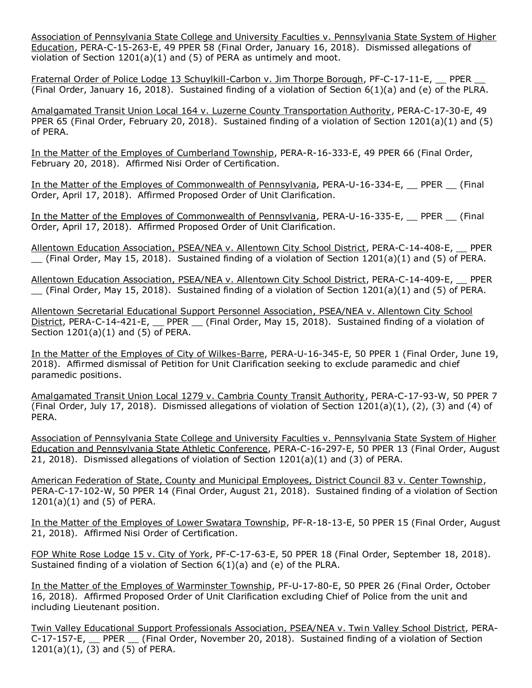Association of Pennsylvania State College and University Faculties v. Pennsylvania State System of Higher Education, PERA-C-15-263-E, 49 PPER 58 (Final Order, January 16, 2018). Dismissed allegations of violation of Section 1201(a)(1) and (5) of PERA as untimely and moot.

Fraternal Order of Police Lodge 13 Schuylkill-Carbon v. Jim Thorpe Borough, PF-C-17-11-E, PPER (Final Order, January 16, 2018). Sustained finding of a violation of Section 6(1)(a) and (e) of the PLRA.

Amalgamated Transit Union Local 164 v. Luzerne County Transportation Authority, PERA-C-17-30-E, 49 PPER 65 (Final Order, February 20, 2018). Sustained finding of a violation of Section 1201(a)(1) and (5) of PERA.

In the Matter of the Employes of Cumberland Township, PERA-R-16-333-E, 49 PPER 66 (Final Order, February 20, 2018). Affirmed Nisi Order of Certification.

In the Matter of the Employes of Commonwealth of Pennsylvania, PERA-U-16-334-E, \_\_ PPER \_\_ (Final Order, April 17, 2018). Affirmed Proposed Order of Unit Clarification.

In the Matter of the Employes of Commonwealth of Pennsylvania, PERA-U-16-335-E, PPER (Final Order, April 17, 2018). Affirmed Proposed Order of Unit Clarification.

Allentown Education Association, PSEA/NEA v. Allentown City School District, PERA-C-14-408-E, \_\_ PPER (Final Order, May 15, 2018). Sustained finding of a violation of Section 1201(a)(1) and (5) of PERA.

Allentown Education Association, PSEA/NEA v. Allentown City School District, PERA-C-14-409-E, \_\_ PPER  $\Gamma$  (Final Order, May 15, 2018). Sustained finding of a violation of Section 1201(a)(1) and (5) of PERA.

Allentown Secretarial Educational Support Personnel Association, PSEA/NEA v. Allentown City School District, PERA-C-14-421-E, PPER (Final Order, May 15, 2018). Sustained finding of a violation of Section 1201(a)(1) and (5) of PERA.

In the Matter of the Employes of City of Wilkes-Barre, PERA-U-16-345-E, 50 PPER 1 (Final Order, June 19, 2018). Affirmed dismissal of Petition for Unit Clarification seeking to exclude paramedic and chief paramedic positions.

Amalgamated Transit Union Local 1279 v. Cambria County Transit Authority, PERA-C-17-93-W, 50 PPER 7 (Final Order, July 17, 2018). Dismissed allegations of violation of Section  $1201(a)(1)$ , (2), (3) and (4) of PERA.

Association of Pennsylvania State College and University Faculties v. Pennsylvania State System of Higher Education and Pennsylvania State Athletic Conference, PERA-C-16-297-E, 50 PPER 13 (Final Order, August 21, 2018). Dismissed allegations of violation of Section 1201(a)(1) and (3) of PERA.

American Federation of State, County and Municipal Employees, District Council 83 v. Center Township, PERA-C-17-102-W, 50 PPER 14 (Final Order, August 21, 2018). Sustained finding of a violation of Section 1201(a)(1) and (5) of PERA.

In the Matter of the Employes of Lower Swatara Township, PF-R-18-13-E, 50 PPER 15 (Final Order, August 21, 2018). Affirmed Nisi Order of Certification.

FOP White Rose Lodge 15 v. City of York, PF-C-17-63-E, 50 PPER 18 (Final Order, September 18, 2018). Sustained finding of a violation of Section 6(1)(a) and (e) of the PLRA.

In the Matter of the Employes of Warminster Township, PF-U-17-80-E, 50 PPER 26 (Final Order, October 16, 2018). Affirmed Proposed Order of Unit Clarification excluding Chief of Police from the unit and including Lieutenant position.

Twin Valley Educational Support Professionals Association, PSEA/NEA v. Twin Valley School District, PERA-C-17-157-E, \_\_ PPER \_\_ (Final Order, November 20, 2018). Sustained finding of a violation of Section 1201(a)(1), (3) and (5) of PERA.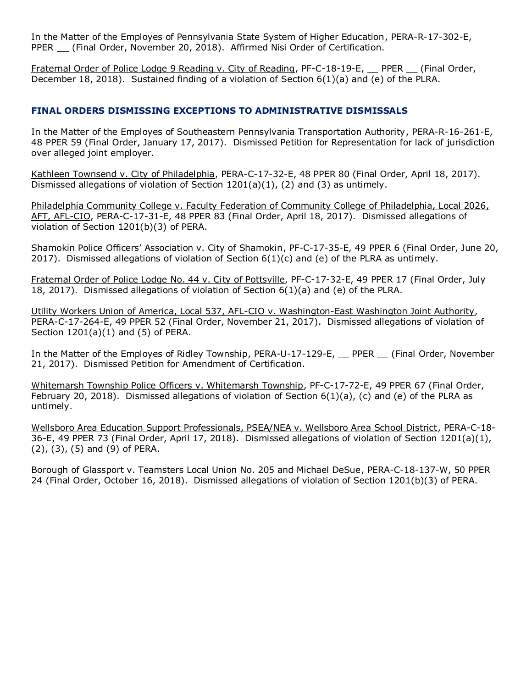In the Matter of the Employes of Pennsylvania State System of Higher Education, PERA-R-17-302-E, PPER (Final Order, November 20, 2018). Affirmed Nisi Order of Certification.

Fraternal Order of Police Lodge 9 Reading v. City of Reading, PF-C-18-19-E, PPER \_ (Final Order, December 18, 2018). Sustained finding of a violation of Section 6(1)(a) and (e) of the PLRA.

### **FINAL ORDERS DISMISSING EXCEPTIONS TO ADMINISTRATIVE DISMISSALS**

In the Matter of the Employes of Southeastern Pennsylvania Transportation Authority, PERA-R-16-261-E, 48 PPER 59 (Final Order, January 17, 2017). Dismissed Petition for Representation for lack of jurisdiction over alleged joint employer.

Kathleen Townsend v. City of Philadelphia, PERA-C-17-32-E, 48 PPER 80 (Final Order, April 18, 2017). Dismissed allegations of violation of Section  $1201(a)(1)$ , (2) and (3) as untimely.

Philadelphia Community College v. Faculty Federation of Community College of Philadelphia, Local 2026, AFT, AFL-CIO, PERA-C-17-31-E, 48 PPER 83 (Final Order, April 18, 2017). Dismissed allegations of violation of Section 1201(b)(3) of PERA.

Shamokin Police Officers' Association v. City of Shamokin, PF-C-17-35-E, 49 PPER 6 (Final Order, June 20, 2017). Dismissed allegations of violation of Section  $6(1)(c)$  and (e) of the PLRA as untimely.

Fraternal Order of Police Lodge No. 44 v. City of Pottsville, PF-C-17-32-E, 49 PPER 17 (Final Order, July 18, 2017). Dismissed allegations of violation of Section 6(1)(a) and (e) of the PLRA.

Utility Workers Union of America, Local 537, AFL-CIO v. Washington-East Washington Joint Authority, PERA-C-17-264-E, 49 PPER 52 (Final Order, November 21, 2017). Dismissed allegations of violation of Section 1201(a)(1) and (5) of PERA.

In the Matter of the Employes of Ridley Township, PERA-U-17-129-E, PPER (Final Order, November 21, 2017). Dismissed Petition for Amendment of Certification.

Whitemarsh Township Police Officers v. Whitemarsh Township, PF-C-17-72-E, 49 PPER 67 (Final Order, February 20, 2018). Dismissed allegations of violation of Section 6(1)(a), (c) and (e) of the PLRA as untimely.

Wellsboro Area Education Support Professionals, PSEA/NEA v. Wellsboro Area School District, PERA-C-18- 36-E, 49 PPER 73 (Final Order, April 17, 2018). Dismissed allegations of violation of Section 1201(a)(1), (2), (3), (5) and (9) of PERA.

Borough of Glassport v. Teamsters Local Union No. 205 and Michael DeSue, PERA-C-18-137-W, 50 PPER 24 (Final Order, October 16, 2018). Dismissed allegations of violation of Section 1201(b)(3) of PERA.